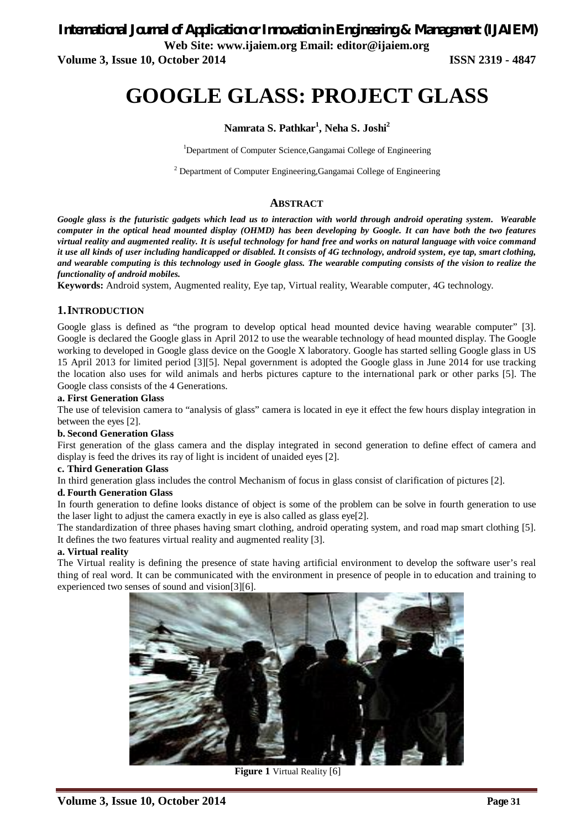# *International Journal of Application or Innovation in Engineering & Management (IJAIEM)* **Web Site: www.ijaiem.org Email: editor@ijaiem.org**

**Volume 3, Issue 10, October 2014 ISSN 2319 - 4847**

# **GOOGLE GLASS: PROJECT GLASS**

# **Namrata S. Pathkar 1 , Neha S. Joshi<sup>2</sup>**

<sup>1</sup>Department of Computer Science, Gangamai College of Engineering

 $2$  Department of Computer Engineering, Gangamai College of Engineering

# **ABSTRACT**

*Google glass is the futuristic gadgets which lead us to interaction with world through android operating system. Wearable computer in the optical head mounted display (OHMD) has been developing by Google. It can have both the two features virtual reality and augmented reality. It is useful technology for hand free and works on natural language with voice command it use all kinds of user including handicapped or disabled. It consists of 4G technology, android system, eye tap, smart clothing, and wearable computing is this technology used in Google glass. The wearable computing consists of the vision to realize the functionality of android mobiles.*

**Keywords:** Android system, Augmented reality, Eye tap, Virtual reality, Wearable computer, 4G technology.

# **1.INTRODUCTION**

Google glass is defined as "the program to develop optical head mounted device having wearable computer" [3]. Google is declared the Google glass in April 2012 to use the wearable technology of head mounted display. The Google working to developed in Google glass device on the Google X laboratory. Google has started selling Google glass in US 15 April 2013 for limited period [3][5]. Nepal government is adopted the Google glass in June 2014 for use tracking the location also uses for wild animals and herbs pictures capture to the international park or other parks [5]. The Google class consists of the 4 Generations.

#### **a. First Generation Glass**

The use of television camera to "analysis of glass" camera is located in eye it effect the few hours display integration in between the eyes [2].

#### **b. Second Generation Glass**

First generation of the glass camera and the display integrated in second generation to define effect of camera and display is feed the drives its ray of light is incident of unaided eyes [2].

#### **c. Third Generation Glass**

In third generation glass includes the control Mechanism of focus in glass consist of clarification of pictures [2].

#### **d. Fourth Generation Glass**

In fourth generation to define looks distance of object is some of the problem can be solve in fourth generation to use the laser light to adjust the camera exactly in eye is also called as glass eye[2].

The standardization of three phases having smart clothing, android operating system, and road map smart clothing [5]. It defines the two features virtual reality and augmented reality [3].

#### **a. Virtual reality**

The Virtual reality is defining the presence of state having artificial environment to develop the software user's real thing of real word. It can be communicated with the environment in presence of people in to education and training to experienced two senses of sound and vision[3][6].



**Figure 1** Virtual Reality [6]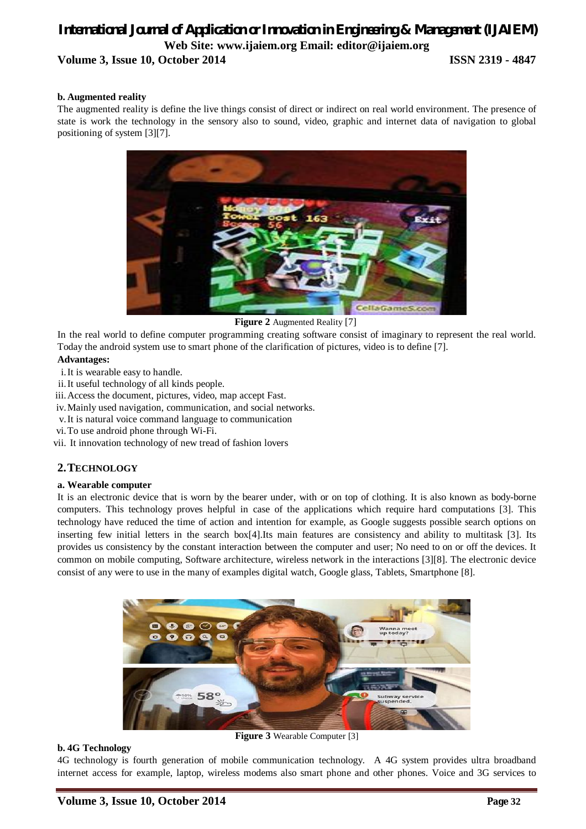# *International Journal of Application or Innovation in Engineering & Management (IJAIEM)* **Web Site: www.ijaiem.org Email: editor@ijaiem.org Volume 3, Issue 10, October 2014 ISSN 2319 - 4847**

#### **b. Augmented reality**

The augmented reality is define the live things consist of direct or indirect on real world environment. The presence of state is work the technology in the sensory also to sound, video, graphic and internet data of navigation to global positioning of system [3][7].



**Figure 2** Augmented Reality [7]

In the real world to define computer programming creating software consist of imaginary to represent the real world. Today the android system use to smart phone of the clarification of pictures, video is to define [7].

#### **Advantages:**

- i.It is wearable easy to handle.
- ii.It useful technology of all kinds people.
- iii.Access the document, pictures, video, map accept Fast.
- iv.Mainly used navigation, communication, and social networks.
- v.It is natural voice command language to communication
- vi.To use android phone through Wi-Fi.
- vii. It innovation technology of new tread of fashion lovers

# **2.TECHNOLOGY**

#### **a. Wearable computer**

It is an electronic device that is worn by the bearer under, with or on top of clothing. It is also known as body-borne computers. This technology proves helpful in case of the applications which require hard computations [3]. This technology have reduced the time of action and intention for example, as Google suggests possible search options on inserting few initial letters in the search box[4].Its main features are consistency and ability to multitask [3]. Its provides us consistency by the constant interaction between the computer and user; No need to on or off the devices. It common on mobile computing, Software architecture, wireless network in the interactions [3][8]. The electronic device consist of any were to use in the many of examples digital watch, Google glass, Tablets, Smartphone [8].



**Figure 3** Wearable Computer [3]

4G technology is fourth generation of mobile communication technology. A 4G system provides ultra broadband internet access for example, laptop, wireless modems also smart phone and other phones. Voice and 3G services to

**b. 4G Technology**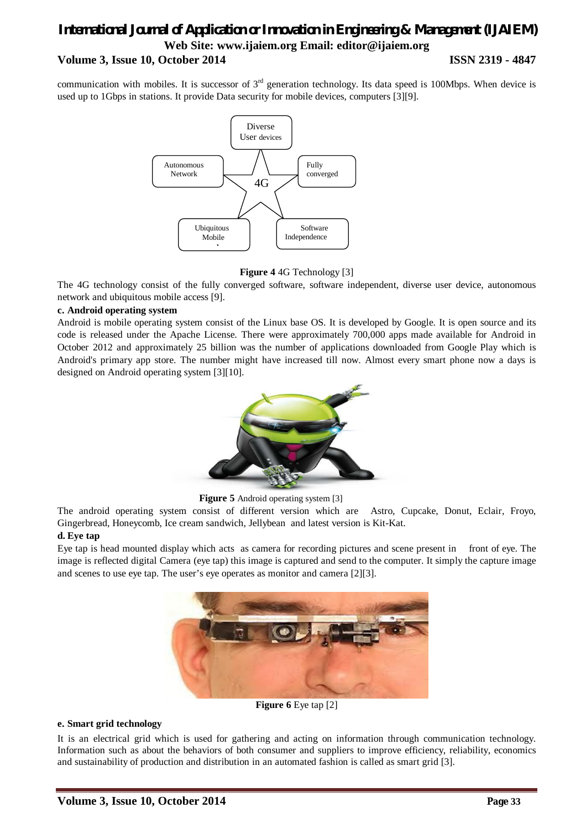# *International Journal of Application or Innovation in Engineering & Management (IJAIEM)* **Web Site: www.ijaiem.org Email: editor@ijaiem.org Volume 3, Issue 10, October 2014 ISSN 2319 - 4847**

communication with mobiles. It is successor of  $3<sup>rd</sup>$  generation technology. Its data speed is 100Mbps. When device is used up to 1Gbps in stations. It provide Data security for mobile devices, computers [3][9].



#### **Figure 4** 4G Technology [3]

The 4G technology consist of the fully converged software, software independent, diverse user device, autonomous network and ubiquitous mobile access [9].

### **c. Android operating system**

Android is mobile operating system consist of the Linux base OS. It is developed by Google. It is open source and its code is released under the Apache License. There were approximately 700,000 apps made available for Android in October 2012 and approximately 25 billion was the number of applications downloaded from Google Play which is Android's primary app store. The number might have increased till now. Almost every smart phone now a days is designed on Android operating system [3][10].



**Figure 5** Android operating system [3]

The android operating system consist of different version which are Astro, Cupcake, Donut, Eclair, Froyo, Gingerbread, Honeycomb, Ice cream sandwich, Jellybean and latest version is Kit-Kat.

#### **d. Eye tap**

Eye tap is head mounted display which acts as camera for recording pictures and scene present in front of eye. The image is reflected digital Camera (eye tap) this image is captured and send to the computer. It simply the capture image and scenes to use eye tap. The user's eye operates as monitor and camera [2][3].



**Figure 6** Eye tap [2]

#### **e. Smart grid technology**

It is an electrical grid which is used for gathering and acting on information through communication technology. Information such as about the behaviors of both consumer and suppliers to improve efficiency, reliability, economics and sustainability of production and distribution in an automated fashion is called as smart grid [3].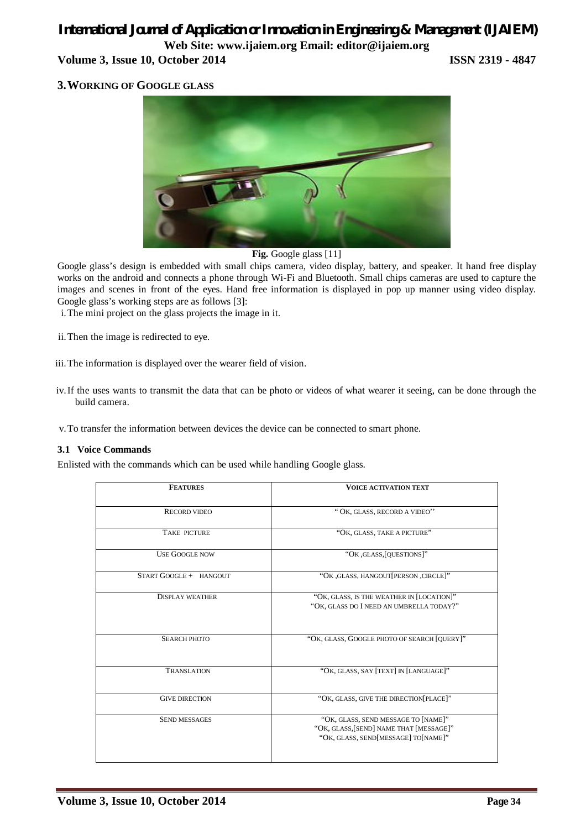# *International Journal of Application or Innovation in Engineering & Management (IJAIEM)* **Web Site: www.ijaiem.org Email: editor@ijaiem.org**

**Volume 3, Issue 10, October 2014 ISSN 2319 - 4847**

# **3.WORKING OF GOOGLE GLASS**



**Fig.** Google glass [11]

Google glass's design is embedded with small chips camera, video display, battery, and speaker. It hand free display works on the android and connects a phone through Wi-Fi and Bluetooth. Small chips cameras are used to capture the images and scenes in front of the eyes. Hand free information is displayed in pop up manner using video display. Google glass's working steps are as follows [3]:

i.The mini project on the glass projects the image in it.

ii.Then the image is redirected to eye.

- iv.If the uses wants to transmit the data that can be photo or videos of what wearer it seeing, can be done through the build camera.
- v.To transfer the information between devices the device can be connected to smart phone.

#### **3.1 Voice Commands**

Enlisted with the commands which can be used while handling Google glass.

| <b>FEATURES</b>        | <b>VOICE ACTIVATION TEXT</b>                                                                                          |
|------------------------|-----------------------------------------------------------------------------------------------------------------------|
| <b>RECORD VIDEO</b>    | "OK, GLASS, RECORD A VIDEO"                                                                                           |
| TAKE PICTURE           | "OK, GLASS, TAKE A PICTURE"                                                                                           |
| <b>USE GOOGLE NOW</b>  | "OK ,GLASS, [QUESTIONS]"                                                                                              |
| START GOOGLE + HANGOUT | "OK , GLASS, HANGOUT [PERSON , CIRCLE]"                                                                               |
| <b>DISPLAY WEATHER</b> | "OK, GLASS, IS THE WEATHER IN [LOCATION]"<br>"OK, GLASS DO I NEED AN UMBRELLA TODAY?"                                 |
| <b>SEARCH PHOTO</b>    | "OK, GLASS, GOOGLE PHOTO OF SEARCH [QUERY]"                                                                           |
| <b>TRANSLATION</b>     | "OK, GLASS, SAY [TEXT] IN [LANGUAGE]"                                                                                 |
| <b>GIVE DIRECTION</b>  | "OK, GLASS, GIVE THE DIRECTION [PLACE]"                                                                               |
| <b>SEND MESSAGES</b>   | "OK, GLASS, SEND MESSAGE TO [NAME]"<br>"OK, GLASS, [SEND] NAME THAT [MESSAGE]"<br>"OK, GLASS, SEND[MESSAGE] TO[NAME]" |

iii.The information is displayed over the wearer field of vision.